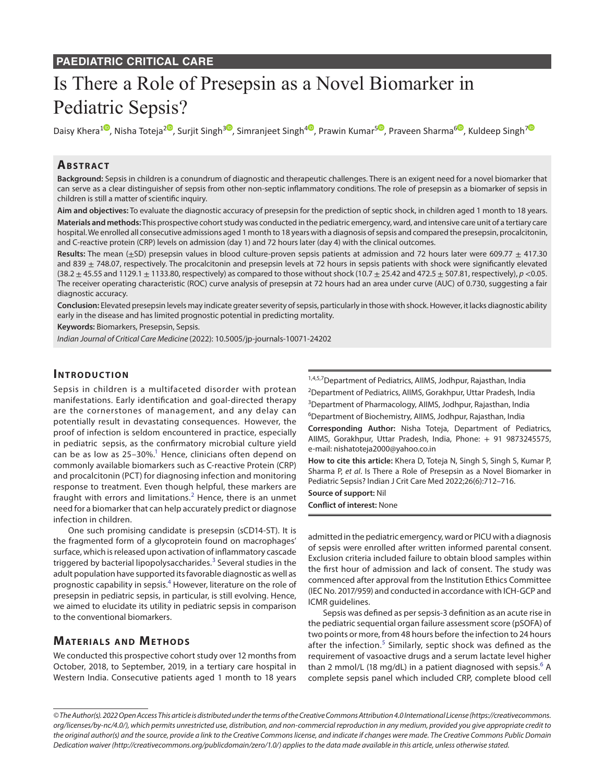# Is There a Role of Presepsin as a Novel Biomarker in Pediatric Sepsis?

Daisy Khera<sup>10</sup>[,](https://orcid.org/0000-0002-2365-8097) Nisha Toteja<sup>[2](https://orcid.org/0000-0002-3667-5881)0</sup>, Surjit Singh<sup>[3](https://orcid.org/0000-0002-8990-3235)0</sup>, Simranjeet Singh<sup>40</sup>, Prawin Kumar<sup>50</sup>, Praveen Sharma<sup>[6](https://orcid.org/0000-0002-8324-737X)0</sup>, Kuldeep Singh<sup>[7](https://orcid.org/0000-0002-9375-3233)0</sup>

## **ABSTRACT**

**Background:** Sepsis in children is a conundrum of diagnostic and therapeutic challenges. There is an exigent need for a novel biomarker that can serve as a clear distinguisher of sepsis from other non-septic inflammatory conditions. The role of presepsin as a biomarker of sepsis in children is still a matter of scientific inquiry.

**Aim and objectives:** To evaluate the diagnostic accuracy of presepsin for the prediction of septic shock, in children aged 1 month to 18 years. **Materials and methods:** This prospective cohort study was conducted in the pediatric emergency, ward, and intensive care unit of a tertiary care hospital. We enrolled all consecutive admissions aged 1 month to 18 years with a diagnosis of sepsis and compared the presepsin, procalcitonin, and C-reactive protein (CRP) levels on admission (day 1) and 72 hours later (day 4) with the clinical outcomes.

Results: The mean (±SD) presepsin values in blood culture-proven sepsis patients at admission and 72 hours later were 609.77 ± 417.30 and 839  $\pm$  748.07, respectively. The procalcitonin and presepsin levels at 72 hours in sepsis patients with shock were significantly elevated (38.2 ± 45.55 and 1129.1 ± 1133.80, respectively) as compared to those without shock (10.7 ± 25.42 and 472.5 ± 507.81, respectively), *p* <0.05. The receiver operating characteristic (ROC) curve analysis of presepsin at 72 hours had an area under curve (AUC) of 0.730, suggesting a fair diagnostic accuracy.

**Conclusion:** Elevated presepsin levels may indicate greater severity of sepsis, particularly in those with shock. However, it lacks diagnostic ability early in the disease and has limited prognostic potential in predicting mortality.

**Keywords:** Biomarkers, Presepsin, Sepsis.

*Indian Journal of Critical Care Medicine* (2022): 10.5005/jp-journals-10071-24202

## **INTRODUCTION**

Sepsis in children is a multifaceted disorder with protean manifestations. Early identification and goal-directed therapy are the cornerstones of management, and any delay can potentially result in devastating consequences. However, the proof of infection is seldom encountered in practice, especially in pediatric sepsis, as the confirmatory microbial culture yield can be as low as 25–30%.<sup>1</sup> Hence, clinicians often depend on commonly available biomarkers such as C-reactive Protein (CRP) and procalcitonin (PCT) for diagnosing infection and monitoring response to treatment. Even though helpful, these markers are fraught with errors and limitations. $^2$  $^2$  Hence, there is an unmet need for a biomarker that can help accurately predict or diagnose infection in children.

One such promising candidate is presepsin (sCD14-ST). It is the fragmented form of a glycoprotein found on macrophages' surface, which is released upon activation of inflammatory cascade triggered by bacterial lipopolysaccharides.<sup>[3](#page-4-2)</sup> Several studies in the adult population have supported its favorable diagnostic as well as prognostic capability in sepsis.<sup>[4](#page-4-3)</sup> However, literature on the role of presepsin in pediatric sepsis, in particular, is still evolving. Hence, we aimed to elucidate its utility in pediatric sepsis in comparison to the conventional biomarkers.

## **MATERIALS AND METHODS**

We conducted this prospective cohort study over 12 months from October, 2018, to September, 2019, in a tertiary care hospital in Western India. Consecutive patients aged 1 month to 18 years 1,4,5,7 Department of Pediatrics, AllMS, Jodhpur, Rajasthan, India <sup>2</sup>Department of Pediatrics, AIIMS, Gorakhpur, Uttar Pradesh, India <sup>3</sup>Department of Pharmacology, AllMS, Jodhpur, Rajasthan, India 6 Department of Biochemistry, AIIMS, Jodhpur, Rajasthan, India

**Corresponding Author:** Nisha Toteja, Department of Pediatrics, AIIMS, Gorakhpur, Uttar Pradesh, India, Phone: + 91 9873245575, e-mail: nishatoteja2000@yahoo.co.in

**How to cite this article:** Khera D, Toteja N, Singh S, Singh S, Kumar P, Sharma P, *et al*. Is There a Role of Presepsin as a Novel Biomarker in Pediatric Sepsis? Indian J Crit Care Med 2022;26(6):712–716.

**Source of support:** Nil

**Conflict of interest:** None

admitted in the pediatric emergency, ward or PICU with a diagnosis of sepsis were enrolled after written informed parental consent. Exclusion criteria included failure to obtain blood samples within the first hour of admission and lack of consent. The study was commenced after approval from the Institution Ethics Committee (IEC No. 2017/959) and conducted in accordance with ICH-GCP and ICMR guidelines.

Sepsis was defined as per sepsis-3 definition as an acute rise in the pediatric sequential organ failure assessment score (pSOFA) of two points or more, from 48 hours before the infection to 24 hours after the infection.<sup>[5](#page-4-4)</sup> Similarly, septic shock was defined as the requirement of vasoactive drugs and a serum lactate level higher than 2 mmol/L (18 mg/dL) in a patient diagnosed with sepsis.<sup>[6](#page-4-5)</sup> A complete sepsis panel which included CRP, complete blood cell

*<sup>©</sup> The Author(s). 2022 Open Access This article is distributed under the terms of the Creative Commons Attribution 4.0 International License ([https://creativecommons.](https://creativecommons.org/licenses/by-nc/4.0/) [org/licenses/by-nc/4.0/](https://creativecommons.org/licenses/by-nc/4.0/)), which permits unrestricted use, distribution, and non-commercial reproduction in any medium, provided you give appropriate credit to the original author(s) and the source, provide a link to the Creative Commons license, and indicate if changes were made. The Creative Commons Public Domain Dedication waiver ([http://creativecommons.org/publicdomain/zero/1.0/\)](http://creativecommons.org/publicdomain/zero/1.0/) applies to the data made available in this article, unless otherwise stated.*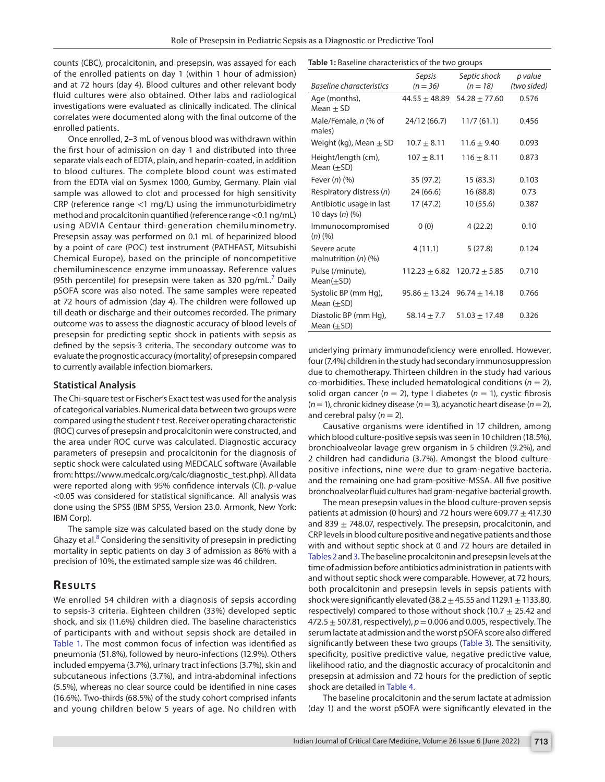counts (CBC), procalcitonin, and presepsin, was assayed for each of the enrolled patients on day 1 (within 1 hour of admission) and at 72 hours (day 4). Blood cultures and other relevant body fluid cultures were also obtained. Other labs and radiological investigations were evaluated as clinically indicated. The clinical correlates were documented along with the final outcome of the enrolled patients.

Once enrolled, 2–3 mL of venous blood was withdrawn within the first hour of admission on day 1 and distributed into three separate vials each of EDTA, plain, and heparin-coated, in addition to blood cultures. The complete blood count was estimated from the EDTA vial on Sysmex 1000, Gumby, Germany. Plain vial sample was allowed to clot and processed for high sensitivity CRP (reference range <1 mg/L) using the immunoturbidimetry method and procalcitonin quantified (reference range <0.1 ng/mL) using ADVIA Centaur third-generation chemiluminometry. Presepsin assay was performed on 0.1 mL of heparinized blood by a point of care (POC) test instrument (PATHFAST, Mitsubishi Chemical Europe), based on the principle of noncompetitive chemiluminescence enzyme immunoassay. Reference values (95th percentile) for presepsin were taken as 320  $pg/mL<sup>7</sup>$  $pg/mL<sup>7</sup>$  $pg/mL<sup>7</sup>$  Daily pSOFA score was also noted. The same samples were repeated at 72 hours of admission (day 4). The children were followed up till death or discharge and their outcomes recorded. The primary outcome was to assess the diagnostic accuracy of blood levels of presepsin for predicting septic shock in patients with sepsis as defined by the sepsis-3 criteria. The secondary outcome was to evaluate the prognostic accuracy (mortality) of presepsin compared to currently available infection biomarkers.

#### **Statistical Analysis**

The Chi-square test or Fischer's Exact test was used for the analysis of categorical variables. Numerical data between two groups were compared using the student *t*-test. Receiver operating characteristic (ROC) curves of presepsin and procalcitonin were constructed, and the area under ROC curve was calculated. Diagnostic accuracy parameters of presepsin and procalcitonin for the diagnosis of septic shock were calculated using MEDCALC software (Available from: https://www.medcalc.org/calc/diagnostic\_test.php). All data were reported along with 95% confidence intervals (CI). *p*-value <0.05 was considered for statistical significance. All analysis was done using the SPSS (IBM SPSS, Version 23.0. Armonk, New York: IBM Corp).

The sample size was calculated based on the study done by Ghazy et al. $8$  Considering the sensitivity of presepsin in predicting mortality in septic patients on day 3 of admission as 86% with a precision of 10%, the estimated sample size was 46 children.

### **RESULTS**

We enrolled 54 children with a diagnosis of sepsis according to sepsis-3 criteria. Eighteen children (33%) developed septic shock, and six (11.6%) children died. The baseline characteristics of participants with and without sepsis shock are detailed in [Table 1.](#page-1-0) The most common focus of infection was identified as pneumonia (51.8%), followed by neuro-infections (12.9%). Others included empyema (3.7%), urinary tract infections (3.7%), skin and subcutaneous infections (3.7%), and intra-abdominal infections (5.5%), whereas no clear source could be identified in nine cases (16.6%). Two-thirds (68.5%) of the study cohort comprised infants and young children below 5 years of age. No children with

#### <span id="page-1-0"></span>**Table 1:** Baseline characteristics of the two groups

|                                             | Sepsis          | Septic shock                        | p value     |  |  |  |
|---------------------------------------------|-----------------|-------------------------------------|-------------|--|--|--|
| Baseline characteristics                    | $(n = 36)$      | $(n = 18)$                          | (two sided) |  |  |  |
| Age (months),<br>Mean $\pm$ SD              |                 | $44.55 \pm 48.89$ 54.28 $\pm$ 77.60 | 0.576       |  |  |  |
| Male/Female, n (% of<br>males)              | 24/12 (66.7)    | 11/7(61.1)                          | 0.456       |  |  |  |
| Weight (kg), Mean $\pm$ SD                  | $10.7 \pm 8.11$ | $11.6 \pm 9.40$                     | 0.093       |  |  |  |
| Height/length (cm),<br>Mean (±SD)           | $107 \pm 8.11$  | $116 \pm 8.11$                      | 0.873       |  |  |  |
| Fever (n) (%)                               | 35 (97.2)       | 15(83.3)                            | 0.103       |  |  |  |
| Respiratory distress (n)                    | 24 (66.6)       | 16 (88.8)                           | 0.73        |  |  |  |
| Antibiotic usage in last<br>10 days (n) (%) | 17(47.2)        | 10(55.6)                            | 0.387       |  |  |  |
| Immunocompromised<br>(n) (%)                | 0(0)            | 4(22.2)                             | 0.10        |  |  |  |
| Severe acute<br>malnutrition $(n)$ $(\%)$   | 4(11.1)         | 5(27.8)                             | 0.124       |  |  |  |
| Pulse (/minute),<br>$Mean(\pm SD)$          |                 | $112.23 \pm 6.82$ $120.72 \pm 5.85$ | 0.710       |  |  |  |
| Systolic BP (mm Hg),<br>Mean ( $\pm$ SD)    |                 | $95.86 \pm 13.24$ $96.74 \pm 14.18$ | 0.766       |  |  |  |
| Diastolic BP (mm Hg),<br>Mean ( $\pm$ SD)   | $58.14 \pm 7.7$ | $51.03 \pm 17.48$                   | 0.326       |  |  |  |

underlying primary immunodeficiency were enrolled. However, four (7.4%) children in the study had secondary immunosuppression due to chemotherapy. Thirteen children in the study had various co-morbidities. These included hematological conditions (*n* = 2), solid organ cancer  $(n = 2)$ , type I diabetes  $(n = 1)$ , cystic fibrosis (*n*= 1), chronic kidney disease (*n*= 3), acyanotic heart disease (*n*= 2), and cerebral palsy  $(n = 2)$ .

Causative organisms were identified in 17 children, among which blood culture-positive sepsis was seen in 10 children (18.5%), bronchioalveolar lavage grew organism in 5 children (9.2%), and 2 children had candiduria (3.7%). Amongst the blood culturepositive infections, nine were due to gram-negative bacteria, and the remaining one had gram-positive-MSSA. All five positive bronchoalveolar fluid cultures had gram-negative bacterial growth.

The mean presepsin values in the blood culture-proven sepsis patients at admission (0 hours) and 72 hours were 609.77  $\pm$  417.30 and 839  $\pm$  748.07, respectively. The presepsin, procalcitonin, and CRP levels in blood culture positive and negative patients and those with and without septic shock at 0 and 72 hours are detailed in [Tables 2](#page-2-0) and [3](#page-2-1). The baseline procalcitonin and presepsin levels at the time of admission before antibiotics administration in patients with and without septic shock were comparable. However, at 72 hours, both procalcitonin and presepsin levels in sepsis patients with shock were significantly elevated (38.2  $\pm$  45.55 and 1129.1  $\pm$  1133.80, respectively) compared to those without shock (10.7  $\pm$  25.42 and 472.5 ± 507.81, respectively), *p* = 0.006 and 0.005, respectively. The serum lactate at admission and the worst pSOFA score also differed significantly between these two groups [\(Table 3](#page-2-1)). The sensitivity, specificity, positive predictive value, negative predictive value, likelihood ratio, and the diagnostic accuracy of procalcitonin and presepsin at admission and 72 hours for the prediction of septic shock are detailed in [Table 4](#page-2-2).

The baseline procalcitonin and the serum lactate at admission (day 1) and the worst pSOFA were significantly elevated in the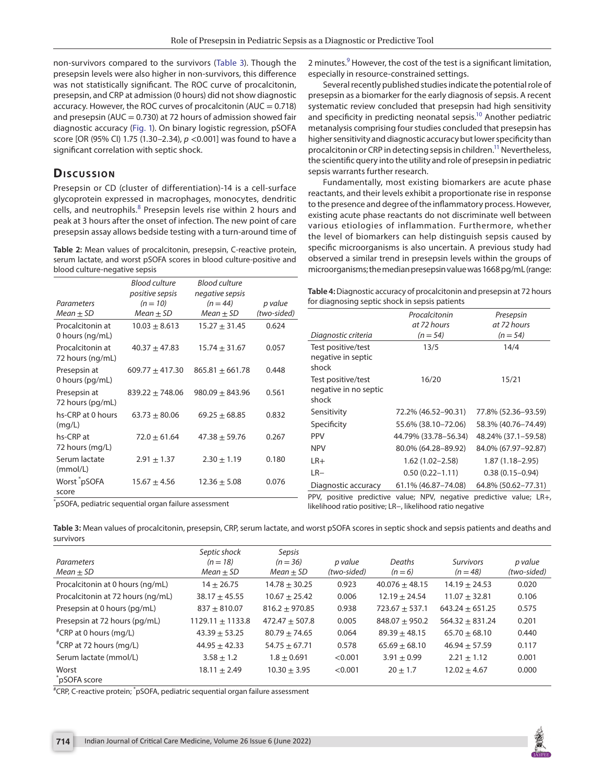non-survivors compared to the survivors ([Table 3](#page-2-1)). Though the presepsin levels were also higher in non-survivors, this difference was not statistically significant. The ROC curve of procalcitonin, presepsin, and CRP at admission (0 hours) did not show diagnostic accuracy. However, the ROC curves of procalcitonin ( $AUC = 0.718$ ) and presepsin ( $AUC = 0.730$ ) at 72 hours of admission showed fair diagnostic accuracy [\(Fig. 1](#page-3-0)). On binary logistic regression, pSOFA score [OR (95% CI) 1.75 (1.30–2.34), *p* <0.001] was found to have a significant correlation with septic shock.

# **Discussion**

Presepsin or CD (cluster of differentiation)-14 is a cell-surface glycoprotein expressed in macrophages, monocytes, dendritic cells, and neutrophils.<sup>[8](#page-4-7)</sup> Presepsin levels rise within 2 hours and peak at 3 hours after the onset of infection. The new point of care presepsin assay allows bedside testing with a turn-around time of

<span id="page-2-0"></span>**Table 2:** Mean values of procalcitonin, presepsin, C-reactive protein, serum lactate, and worst pSOFA scores in blood culture-positive and blood culture-negative sepsis

|                                      | Blood culture       | <b>Blood culture</b> |             |
|--------------------------------------|---------------------|----------------------|-------------|
|                                      | positive sepsis     | negative sepsis      |             |
| Parameters                           | $(n = 10)$          | $(n = 44)$           | p value     |
| Mean $\pm$ SD                        | $Mean \pm SD$       | Mean $\pm$ SD        | (two-sided) |
| Procalcitonin at<br>0 hours (ng/mL)  | $10.03 \pm 8.613$   | $15.27 \pm 31.45$    | 0.624       |
| Procalcitonin at<br>72 hours (ng/mL) | $40.37 + 47.83$     | $15.74 \pm 31.67$    | 0.057       |
| Presepsin at<br>0 hours (pg/mL)      | $609.77 \pm 417.30$ | $865.81 + 661.78$    | 0.448       |
| Presepsin at<br>72 hours (pg/mL)     | $839.22 \pm 748.06$ | $980.09 \pm 843.96$  | 0.561       |
| hs-CRP at 0 hours<br>(mq/L)          | $63.73 \pm 80.06$   | $69.25 \pm 68.85$    | 0.832       |
| hs-CRP at<br>72 hours (mg/L)         | $72.0 \pm 61.64$    | $47.38 + 59.76$      | 0.267       |
| Serum lactate<br>(mmol/L)            | $2.91 \pm 1.37$     | $2.30 \pm 1.19$      | 0.180       |
| Worst *pSOFA<br>score                | $15.67 + 4.56$      | $12.36 \pm 5.08$     | 0.076       |

2 minutes.<sup>9</sup> However, the cost of the test is a significant limitation, especially in resource-constrained settings.

Several recently published studies indicate the potential role of presepsin as a biomarker for the early diagnosis of sepsis. A recent systematic review concluded that presepsin had high sensitivity and specificity in predicting neonatal sepsis.<sup>10</sup> Another pediatric metanalysis comprising four studies concluded that presepsin has higher sensitivity and diagnostic accuracy but lower specificity than procalcitonin or CRP in detecting sepsis in children.<sup>11</sup> Nevertheless, the scientific query into the utility and role of presepsin in pediatric sepsis warrants further research.

Fundamentally, most existing biomarkers are acute phase reactants, and their levels exhibit a proportionate rise in response to the presence and degree of the inflammatory process. However, existing acute phase reactants do not discriminate well between various etiologies of inflammation. Furthermore, whether the level of biomarkers can help distinguish sepsis caused by specific microorganisms is also uncertain. A previous study had observed a similar trend in presepsin levels within the groups of microorganisms; the median presepsin value was 1668 pg/mL (range:

<span id="page-2-2"></span>

| Table 4: Diagnostic accuracy of procalcitonin and presepsin at 72 hours |
|-------------------------------------------------------------------------|
| for diagnosing septic shock in sepsis patients                          |

|                                                      | Procalcitonin<br>at 72 hours | Presepsin<br>at 72 hours |
|------------------------------------------------------|------------------------------|--------------------------|
| Diagnostic criteria                                  | $(n = 54)$                   | $(n = 54)$               |
| Test positive/test<br>negative in septic<br>shock    | 13/5                         | 14/4                     |
| Test positive/test<br>negative in no septic<br>shock | 16/20                        | 15/21                    |
| Sensitivity                                          | 72.2% (46.52–90.31)          | 77.8% (52.36–93.59)      |
| Specificity                                          | 55.6% (38.10-72.06)          | 58.3% (40.76-74.49)      |
| <b>PPV</b>                                           | 44.79% (33.78-56.34)         | 48.24% (37.1–59.58)      |
| <b>NPV</b>                                           | 80.0% (64.28-89.92)          | 84.0% (67.97-92.87)      |
| $LR+$                                                | $1.62(1.02 - 2.58)$          | $1.87(1.18 - 2.95)$      |
| $LR-$                                                | $0.50(0.22 - 1.11)$          | $0.38(0.15 - 0.94)$      |
| Diagnostic accuracy                                  | 61.1% (46.87–74.08)          | 64.8% (50.62-77.31)      |

PPV, positive predictive value; NPV, negative predictive value; LR+, likelihood ratio positive; LR−, likelihood ratio negative

\* pSOFA, pediatric sequential organ failure assessment

<span id="page-2-1"></span>**Table 3:** Mean values of procalcitonin, presepsin, CRP, serum lactate, and worst pSOFA scores in septic shock and sepsis patients and deaths and survivors

|                                   | Septic shock       | Sepsis           |             |                  |                   |             |
|-----------------------------------|--------------------|------------------|-------------|------------------|-------------------|-------------|
| Parameters                        | $(n = 18)$         | $(n = 36)$       | p value     | Deaths           | <b>Survivors</b>  | p value     |
| Mean $\pm$ SD                     | $Mean \pm SD$      | $Mean \pm SD$    | (two-sided) | $(n = 6)$        | $(n = 48)$        | (two-sided) |
| Procalcitonin at 0 hours (ng/mL)  | $14 + 26.75$       | $14.78 + 30.25$  | 0.923       | $40.076 + 48.15$ | $14.19 + 24.53$   | 0.020       |
| Procalcitonin at 72 hours (ng/mL) | $38.17 + 45.55$    | $10.67 + 25.42$  | 0.006       | $12.19 + 24.54$  | $11.07 + 32.81$   | 0.106       |
| Presepsin at 0 hours (pg/mL)      | $837 + 810.07$     | $816.2 + 970.85$ | 0.938       | $723.67 + 537.1$ | $643.24 + 651.25$ | 0.575       |
| Presepsin at 72 hours (pg/mL)     | $1129.11 + 1133.8$ | $472.47 + 507.8$ | 0.005       | $848.07 + 950.2$ | $564.32 + 831.24$ | 0.201       |
| "CRP at 0 hours (mg/L)            | $43.39 \pm 53.25$  | $80.79 + 74.65$  | 0.064       | $89.39 + 48.15$  | $65.70 + 68.10$   | 0.440       |
| #CRP at 72 hours (mg/L)           | $44.95 + 42.33$    | $54.75 + 67.71$  | 0.578       | $65.69 + 68.10$  | $46.94 + 57.59$   | 0.117       |
| Serum lactate (mmol/L)            | $3.58 + 1.2$       | $1.8 + 0.691$    | < 0.001     | $3.91 + 0.99$    | $2.21 + 1.12$     | 0.001       |
| Worst<br>pSOFA score              | $18.11 + 2.49$     | $10.30 + 3.95$   | < 0.001     | $20 + 1.7$       | $12.02 + 4.67$    | 0.000       |

# CRP, C-reactive protein; \* pSOFA, pediatric sequential organ failure assessment

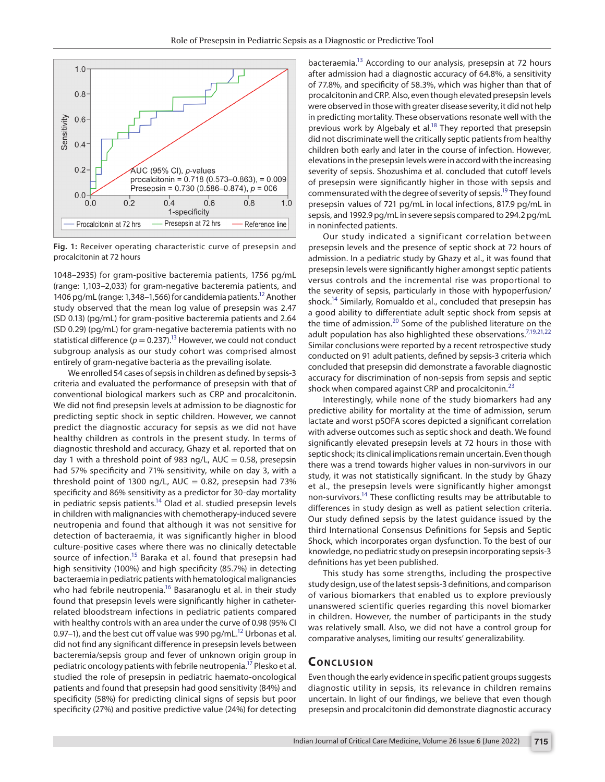

<span id="page-3-0"></span>**Fig. 1:** Receiver operating characteristic curve of presepsin and procalcitonin at 72 hours

1048–2935) for gram-positive bacteremia patients, 1756 pg/mL (range: 1,103–2,033) for gram-negative bacteremia patients, and 1406 pg/mL (range: 1,348–1,566) for candidemia patients.<sup>12</sup> Another study observed that the mean log value of presepsin was 2.47 (SD 0.13) (pg/mL) for gram-positive bacteremia patients and 2.64 (SD 0.29) (pg/mL) for gram-negative bacteremia patients with no statistical difference ( $p = 0.237$ ).<sup>13</sup> However, we could not conduct subgroup analysis as our study cohort was comprised almost entirely of gram-negative bacteria as the prevailing isolate.

We enrolled 54 cases of sepsis in children as defined by sepsis-3 criteria and evaluated the performance of presepsin with that of conventional biological markers such as CRP and procalcitonin. We did not find presepsin levels at admission to be diagnostic for predicting septic shock in septic children. However, we cannot predict the diagnostic accuracy for sepsis as we did not have healthy children as controls in the present study. In terms of diagnostic threshold and accuracy, Ghazy et al. reported that on day 1 with a threshold point of 983 ng/L,  $AUC = 0.58$ , presepsin had 57% specificity and 71% sensitivity, while on day 3, with a threshold point of 1300  $\frac{ng}{L}$ , AUC = 0.82, presepsin had 73% specificity and 86% sensitivity as a predictor for 30-day mortality in pediatric sepsis patients.<sup>14</sup> Olad et al. studied presepsin levels in children with malignancies with chemotherapy-induced severe neutropenia and found that although it was not sensitive for detection of bacteraemia, it was significantly higher in blood culture-positive cases where there was no clinically detectable source of infection.<sup>15</sup> Baraka et al. found that presepsin had high sensitivity (100%) and high specificity (85.7%) in detecting bacteraemia in pediatric patients with hematological malignancies who had febrile neutropenia.<sup>16</sup> Basaranoglu et al. in their study found that presepsin levels were significantly higher in catheterrelated bloodstream infections in pediatric patients compared with healthy controls with an area under the curve of 0.98 (95% CI 0.97–1), and the best cut off value was 990 pg/mL $^{12}$  Urbonas et al. did not find any significant difference in presepsin levels between bacteremia/sepsis group and fever of unknown origin group in pediatric oncology patients with febrile neutropenia[.17](#page-4-16) Plesko et al. studied the role of presepsin in pediatric haemato-oncological patients and found that presepsin had good sensitivity (84%) and specificity (58%) for predicting clinical signs of sepsis but poor specificity (27%) and positive predictive value (24%) for detecting

bacteraemia.<sup>13</sup> According to our analysis, presepsin at 72 hours after admission had a diagnostic accuracy of 64.8%, a sensitivity of 77.8%, and specificity of 58.3%, which was higher than that of procalcitonin and CRP. Also, even though elevated presepsin levels were observed in those with greater disease severity, it did not help in predicting mortality. These observations resonate well with the previous work by Algebaly et al.<sup>18</sup> They reported that presepsin did not discriminate well the critically septic patients from healthy children both early and later in the course of infection. However, elevations in the presepsin levels were in accord with the increasing severity of sepsis. Shozushima et al. concluded that cutoff levels of presepsin were significantly higher in those with sepsis and commensurated with the degree of severity of sepsis.<sup>19</sup> They found presepsin values of 721 pg/mL in local infections, 817.9 pg/mL in sepsis, and 1992.9 pg/mL in severe sepsis compared to 294.2 pg/mL in noninfected patients.

Our study indicated a significant correlation between presepsin levels and the presence of septic shock at 72 hours of admission. In a pediatric study by Ghazy et al., it was found that presepsin levels were significantly higher amongst septic patients versus controls and the incremental rise was proportional to the severity of sepsis, particularly in those with hypoperfusion/ shock.<sup>14</sup> Similarly, Romualdo et al., concluded that presepsin has a good ability to differentiate adult septic shock from sepsis at the time of admission.<sup>20</sup> Some of the published literature on the adult population has also highlighted these observations.<sup>7[,19](#page-4-18),[21](#page-4-20)[,22](#page-4-21)</sup> Similar conclusions were reported by a recent retrospective study conducted on 91 adult patients, defined by sepsis-3 criteria which concluded that presepsin did demonstrate a favorable diagnostic accuracy for discrimination of non-sepsis from sepsis and septic shock when compared against CRP and procalcitonin.<sup>[23](#page-4-22)</sup>

Interestingly, while none of the study biomarkers had any predictive ability for mortality at the time of admission, serum lactate and worst pSOFA scores depicted a significant correlation with adverse outcomes such as septic shock and death. We found significantly elevated presepsin levels at 72 hours in those with septic shock; its clinical implications remain uncertain. Even though there was a trend towards higher values in non-survivors in our study, it was not statistically significant. In the study by Ghazy et al., the presepsin levels were significantly higher amongst non-survivors.<sup>14</sup> These conflicting results may be attributable to differences in study design as well as patient selection criteria. Our study defined sepsis by the latest guidance issued by the third International Consensus Definitions for Sepsis and Septic Shock, which incorporates organ dysfunction. To the best of our knowledge, no pediatric study on presepsin incorporating sepsis-3 definitions has yet been published.

This study has some strengths, including the prospective study design, use of the latest sepsis-3 definitions, and comparison of various biomarkers that enabled us to explore previously unanswered scientific queries regarding this novel biomarker in children. However, the number of participants in the study was relatively small. Also, we did not have a control group for comparative analyses, limiting our results' generalizability.

#### **CONCLUSION**

Even though the early evidence in specific patient groups suggests diagnostic utility in sepsis, its relevance in children remains uncertain. In light of our findings, we believe that even though presepsin and procalcitonin did demonstrate diagnostic accuracy